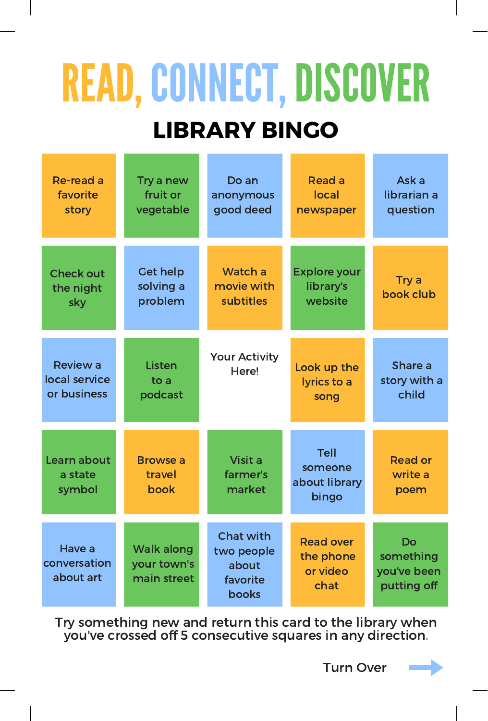## READ, CONNECT, DISCOVER

## LIBRARY BINGO

| Re-read a<br>favorite<br>story                  | Try a new<br>fruit or<br>vegetable              | Do an<br>anonymous<br>good deed                              | Read a<br>local<br>newspaper                      | Ask a<br>librarian a<br>question              |
|-------------------------------------------------|-------------------------------------------------|--------------------------------------------------------------|---------------------------------------------------|-----------------------------------------------|
| <b>Check out</b><br>the night<br>sky            | <b>Get help</b><br>solving a<br>problem         | Watch a<br>movie with<br>subtitles                           | <b>Explore your</b><br>library's<br>website       | Try a<br>book club                            |
| <b>Review a</b><br>local service<br>or business | Listen<br>to a<br>podcast                       | <b>Your Activity</b><br>Here!                                | Look up the<br>lyrics to a<br>song                | Share a<br>story with a<br>child              |
| Learn about<br>a state<br>symbol                | <b>Browse a</b><br>travel<br>book               | Visit a<br>farmer's<br>market                                | Tell<br>someone<br>about library<br>bingo         | <b>Read or</b><br>write a<br>poem             |
| Have a<br>conversation<br>about art             | <b>Walk along</b><br>your town's<br>main street | <b>Chat with</b><br>two people<br>about<br>favorite<br>books | <b>Read over</b><br>the phone<br>or video<br>chat | Do<br>something<br>you've been<br>putting off |

Try something new and return this card to the library when you've crossed off 5 consecutive squares in any direction.

Turn Over